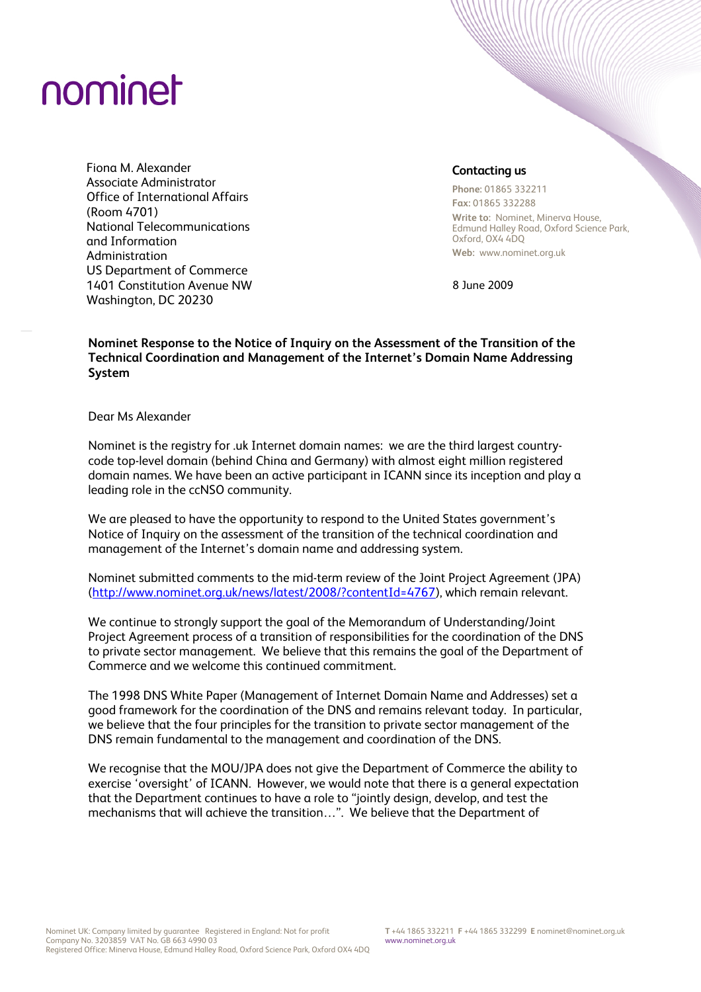## nominet

Fiona M. Alexander Associate Administrator Office of International Affairs (Room 4701) National Telecommunications and Information Administration US Department of Commerce 1401 Constitution Avenue NW Washington, DC 20230

## **Contacting us**

**Phone:** 01865 332211 **Fax:** 01865 332288

**Write to:** Nominet, Minerva House, Edmund Halley Road, Oxford Science Park, Oxford, OX4 4DQ **Web:** www.nominet.org.uk

8 June 2009

**Nominet Response to the Notice of Inquiry on the Assessment of the Transition of the Technical Coordination and Management of the Internet's Domain Name Addressing System** 

Dear Ms Alexander

Nominet is the registry for .uk Internet domain names: we are the third largest countrycode top-level domain (behind China and Germany) with almost eight million registered domain names. We have been an active participant in ICANN since its inception and play a leading role in the ccNSO community.

We are pleased to have the opportunity to respond to the United States government's Notice of Inquiry on the assessment of the transition of the technical coordination and management of the Internet's domain name and addressing system.

Nominet submitted comments to the mid-term review of the Joint Project Agreement (JPA) [\(http://www.nominet.org.uk/news/latest/2008/?contentId=4767\)](http://www.nominet.org.uk/news/latest/2008/?contentId=4767), which remain relevant.

We continue to strongly support the goal of the Memorandum of Understanding/Joint Project Agreement process of a transition of responsibilities for the coordination of the DNS to private sector management. We believe that this remains the goal of the Department of Commerce and we welcome this continued commitment.

The 1998 DNS White Paper (Management of Internet Domain Name and Addresses) set a good framework for the coordination of the DNS and remains relevant today. In particular, we believe that the four principles for the transition to private sector management of the DNS remain fundamental to the management and coordination of the DNS.

We recognise that the MOU/JPA does not give the Department of Commerce the ability to exercise 'oversight' of ICANN. However, we would note that there is a general expectation that the Department continues to have a role to "jointly design, develop, and test the mechanisms that will achieve the transition…". We believe that the Department of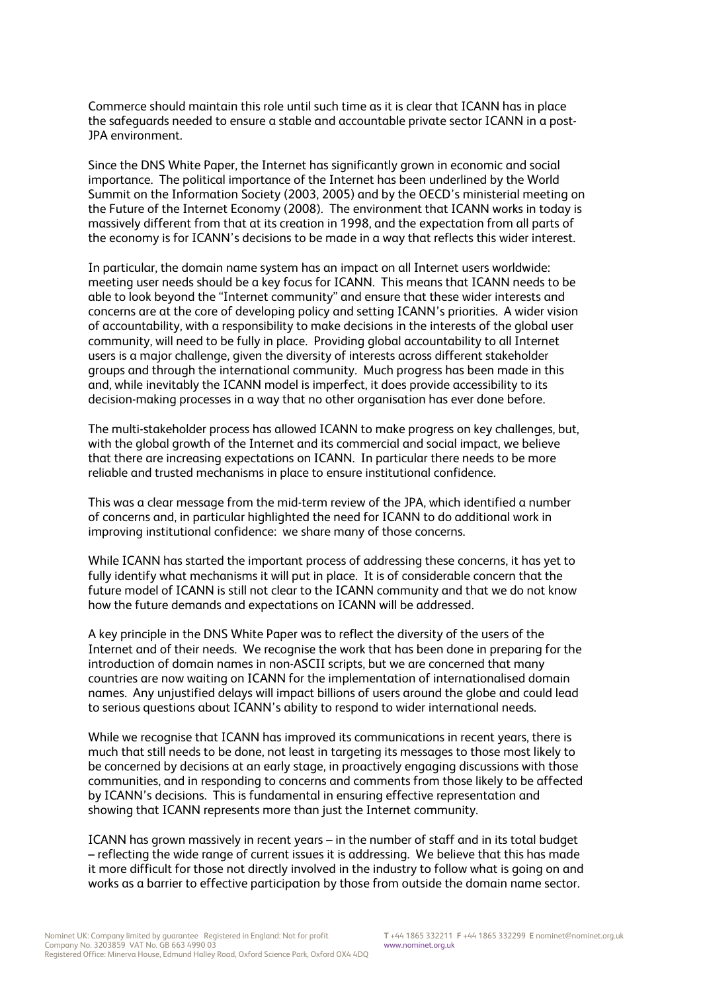Commerce should maintain this role until such time as it is clear that ICANN has in place the safeguards needed to ensure a stable and accountable private sector ICANN in a post-JPA environment.

Since the DNS White Paper, the Internet has significantly grown in economic and social importance. The political importance of the Internet has been underlined by the World Summit on the Information Society (2003, 2005) and by the OECD's ministerial meeting on the Future of the Internet Economy (2008). The environment that ICANN works in today is massively different from that at its creation in 1998, and the expectation from all parts of the economy is for ICANN's decisions to be made in a way that reflects this wider interest.

In particular, the domain name system has an impact on all Internet users worldwide: meeting user needs should be a key focus for ICANN. This means that ICANN needs to be able to look beyond the "Internet community" and ensure that these wider interests and concerns are at the core of developing policy and setting ICANN's priorities. A wider vision of accountability, with a responsibility to make decisions in the interests of the global user community, will need to be fully in place. Providing global accountability to all Internet users is a major challenge, given the diversity of interests across different stakeholder groups and through the international community. Much progress has been made in this and, while inevitably the ICANN model is imperfect, it does provide accessibility to its decision-making processes in a way that no other organisation has ever done before.

The multi-stakeholder process has allowed ICANN to make progress on key challenges, but, with the global growth of the Internet and its commercial and social impact, we believe that there are increasing expectations on ICANN. In particular there needs to be more reliable and trusted mechanisms in place to ensure institutional confidence.

This was a clear message from the mid-term review of the JPA, which identified a number of concerns and, in particular highlighted the need for ICANN to do additional work in improving institutional confidence: we share many of those concerns.

While ICANN has started the important process of addressing these concerns, it has yet to fully identify what mechanisms it will put in place. It is of considerable concern that the future model of ICANN is still not clear to the ICANN community and that we do not know how the future demands and expectations on ICANN will be addressed.

A key principle in the DNS White Paper was to reflect the diversity of the users of the Internet and of their needs. We recognise the work that has been done in preparing for the introduction of domain names in non-ASCII scripts, but we are concerned that many countries are now waiting on ICANN for the implementation of internationalised domain names. Any unjustified delays will impact billions of users around the globe and could lead to serious questions about ICANN's ability to respond to wider international needs.

While we recognise that ICANN has improved its communications in recent years, there is much that still needs to be done, not least in targeting its messages to those most likely to be concerned by decisions at an early stage, in proactively engaging discussions with those communities, and in responding to concerns and comments from those likely to be affected by ICANN's decisions. This is fundamental in ensuring effective representation and showing that ICANN represents more than just the Internet community.

ICANN has grown massively in recent years – in the number of staff and in its total budget – reflecting the wide range of current issues it is addressing. We believe that this has made it more difficult for those not directly involved in the industry to follow what is going on and works as a barrier to effective participation by those from outside the domain name sector.